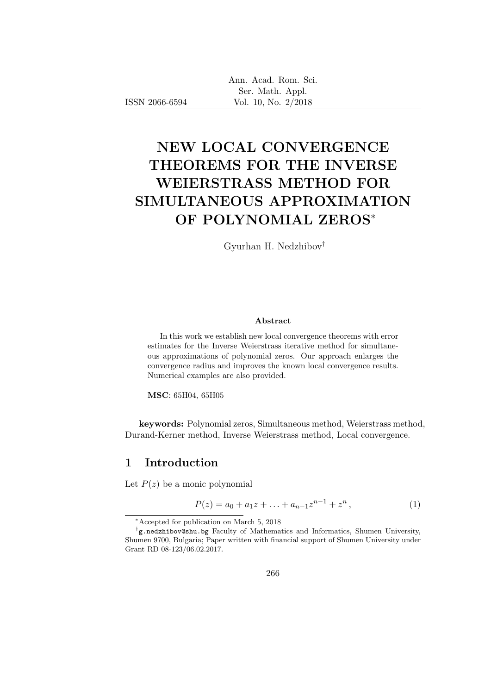|  | Ann. Acad. Rom. Sci. |  |
|--|----------------------|--|
|  | Ser. Math. Appl.     |  |
|  | Vol. 10, No. 2/2018  |  |

# NEW LOCAL CONVERGENCE THEOREMS FOR THE INVERSE WEIERSTRASS METHOD FOR SIMULTANEOUS APPROXIMATION OF POLYNOMIAL ZEROS<sup>∗</sup>

Gyurhan H. Nedzhibov†

#### Abstract

In this work we establish new local convergence theorems with error estimates for the Inverse Weierstrass iterative method for simultaneous approximations of polynomial zeros. Our approach enlarges the convergence radius and improves the known local convergence results. Numerical examples are also provided.

MSC: 65H04, 65H05

keywords: Polynomial zeros, Simultaneous method, Weierstrass method, Durand-Kerner method, Inverse Weierstrass method, Local convergence.

#### 1 Introduction

ISSN 2066-6594

Let  $P(z)$  be a monic polynomial

$$
P(z) = a_0 + a_1 z + \ldots + a_{n-1} z^{n-1} + z^n, \qquad (1)
$$

<sup>∗</sup>Accepted for publication on March 5, 2018

<sup>†</sup> g.nedzhibov@shu.bg Faculty of Mathematics and Informatics, Shumen University, Shumen 9700, Bulgaria; Paper written with financial support of Shumen University under Grant RD 08-123/06.02.2017.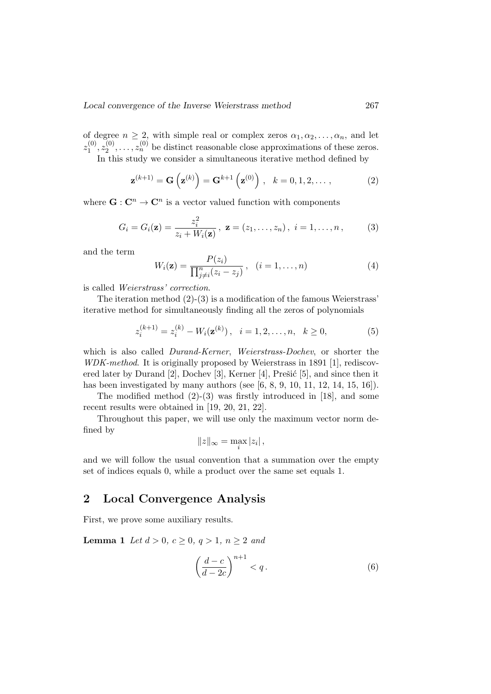of degree  $n \geq 2$ , with simple real or complex zeros  $\alpha_1, \alpha_2, \ldots, \alpha_n$ , and let  $z_1^{(0)}$  $\overset{(0)}{1}, \overset{(0)}{z_2^{(0)}}$  $z_2^{(0)}, \ldots, z_n^{(0)}$  be distinct reasonable close approximations of these zeros. In this study we consider a simultaneous iterative method defined by

$$
\mathbf{z}^{(k+1)} = \mathbf{G}\left(\mathbf{z}^{(k)}\right) = \mathbf{G}^{k+1}\left(\mathbf{z}^{(0)}\right), \quad k = 0, 1, 2, \dots,
$$
 (2)

where  $\mathbf{G}: \mathbf{C}^n \to \mathbf{C}^n$  is a vector valued function with components

$$
G_i = G_i(\mathbf{z}) = \frac{z_i^2}{z_i + W_i(\mathbf{z})}, \ \mathbf{z} = (z_1, \dots, z_n), \ i = 1, \dots, n,
$$
 (3)

and the term

$$
W_i(\mathbf{z}) = \frac{P(z_i)}{\prod_{j \neq i}^n (z_i - z_j)}, \quad (i = 1, \dots, n)
$$
\n
$$
(4)
$$

is called Weierstrass' correction.

The iteration method  $(2)-(3)$  is a modification of the famous Weierstrass' iterative method for simultaneously finding all the zeros of polynomials

$$
z_i^{(k+1)} = z_i^{(k)} - W_i(\mathbf{z}^{(k)}), \quad i = 1, 2, \dots, n, \quad k \ge 0,
$$
 (5)

which is also called *Durand-Kerner*, *Weierstrass-Dochev*, or shorter the WDK-method. It is originally proposed by Weierstrass in 1891 [1], rediscovered later by Durand  $[2]$ , Dochev  $[3]$ , Kerner  $[4]$ , Prešić  $[5]$ , and since then it has been investigated by many authors (see  $[6, 8, 9, 10, 11, 12, 14, 15, 16]$ ).

The modified method (2)-(3) was firstly introduced in [18], and some recent results were obtained in [19, 20, 21, 22].

Throughout this paper, we will use only the maximum vector norm defined by

$$
||z||_{\infty} = \max_{i} |z_i|,
$$

and we will follow the usual convention that a summation over the empty set of indices equals 0, while a product over the same set equals 1.

### 2 Local Convergence Analysis

First, we prove some auxiliary results.

**Lemma 1** Let  $d > 0$ ,  $c > 0$ ,  $q > 1$ ,  $n > 2$  and

$$
\left(\frac{d-c}{d-2c}\right)^{n+1} < q.\tag{6}
$$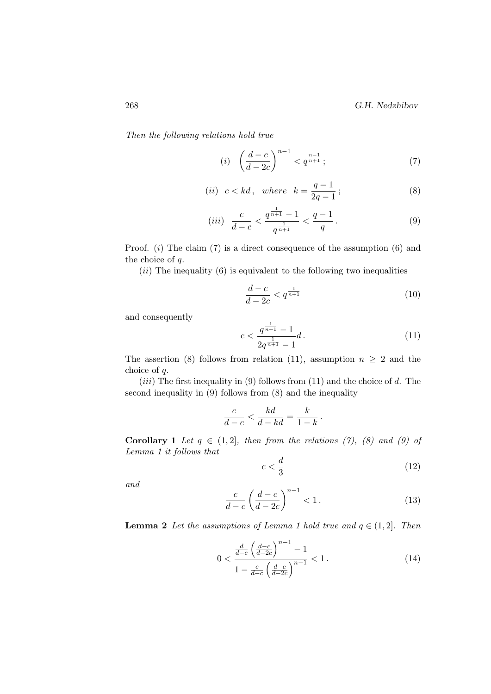Then the following relations hold true

$$
(i) \quad \left(\frac{d-c}{d-2c}\right)^{n-1} < q^{\frac{n-1}{n+1}}\tag{7}
$$

(*ii*) 
$$
c < kd
$$
, where  $k = \frac{q-1}{2q-1}$ ; (8)

$$
(iii) \frac{c}{d-c} < \frac{q^{\frac{1}{n+1}} - 1}{q^{\frac{1}{n+1}}} < \frac{q-1}{q} \,. \tag{9}
$$

Proof.  $(i)$  The claim  $(7)$  is a direct consequence of the assumption  $(6)$  and the choice of q.

 $(ii)$  The inequality  $(6)$  is equivalent to the following two inequalities

$$
\frac{d-c}{d-2c} < q^{\frac{1}{n+1}} \tag{10}
$$

and consequently

$$
c < \frac{q^{\frac{1}{n+1}} - 1}{2q^{\frac{1}{n+1}} - 1}d \,. \tag{11}
$$

The assertion (8) follows from relation (11), assumption  $n \geq 2$  and the choice of q.

 $(iii)$  The first inequality in (9) follows from (11) and the choice of d. The second inequality in (9) follows from (8) and the inequality

$$
\frac{c}{d-c} < \frac{kd}{d-kd} = \frac{k}{1-k} \, .
$$

Corollary 1 Let  $q \in (1, 2]$ , then from the relations (7), (8) and (9) of Lemma 1 it follows that

$$
c < \frac{d}{3} \tag{12}
$$

and

$$
\frac{c}{d-c} \left(\frac{d-c}{d-2c}\right)^{n-1} < 1. \tag{13}
$$

**Lemma 2** Let the assumptions of Lemma 1 hold true and  $q \in (1,2]$ . Then

$$
0 < \frac{\frac{d}{d-c} \left(\frac{d-c}{d-2c}\right)^{n-1} - 1}{1 - \frac{c}{d-c} \left(\frac{d-c}{d-2c}\right)^{n-1}} < 1. \tag{14}
$$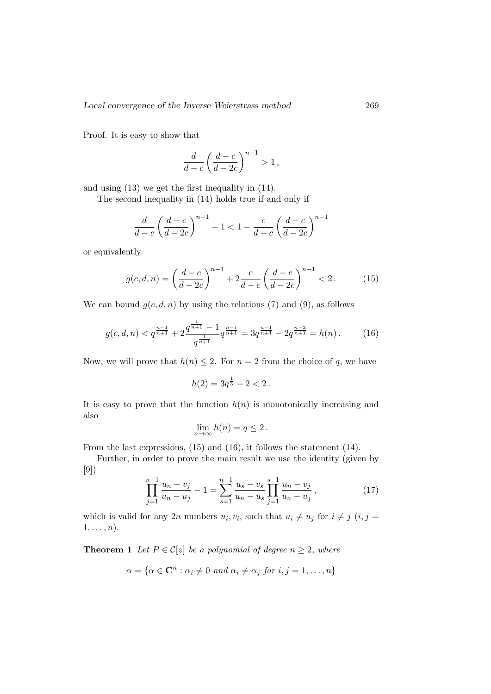Proof. It is easy to show that

$$
\frac{d}{d-c}\left(\frac{d-c}{d-2c}\right)^{n-1} > 1,
$$

and using (13) we get the first inequality in (14).

The second inequality in (14) holds true if and only if

$$
\frac{d}{d-c}\left(\frac{d-c}{d-2c}\right)^{n-1} - 1 < 1 - \frac{c}{d-c}\left(\frac{d-c}{d-2c}\right)^{n-1}
$$

or equivalently

$$
g(c, d, n) = \left(\frac{d-c}{d-2c}\right)^{n-1} + 2\frac{c}{d-c} \left(\frac{d-c}{d-2c}\right)^{n-1} < 2. \tag{15}
$$

We can bound  $g(c, d, n)$  by using the relations (7) and (9), as follows

$$
g(c,d,n) < q^{\frac{n-1}{n+1}} + 2 \frac{q^{\frac{1}{n+1}} - 1}{q^{\frac{1}{n+1}}} q^{\frac{n-1}{n+1}} = 3q^{\frac{n-1}{n+1}} - 2q^{\frac{n-2}{n+1}} = h(n) \,. \tag{16}
$$

Now, we will prove that  $h(n) \leq 2$ . For  $n = 2$  from the choice of q, we have

$$
h(2) = 3q^{\frac{1}{3}} - 2 < 2 \, .
$$

It is easy to prove that the function  $h(n)$  is monotonically increasing and also

$$
\lim_{n \to \infty} h(n) = q \le 2 \, .
$$

From the last expressions, (15) and (16), it follows the statement (14).

Further, in order to prove the main result we use the identity (given by [9])

$$
\prod_{j=1}^{n-1} \frac{u_n - v_j}{u_n - u_j} - 1 = \sum_{s=1}^{n-1} \frac{u_s - v_s}{u_n - u_s} \prod_{j=1}^{s-1} \frac{u_n - v_j}{u_n - u_j},
$$
\n(17)

which is valid for any 2n numbers  $u_i, v_i$ , such that  $u_i \neq u_j$  for  $i \neq j$   $(i, j =$  $1, \ldots, n$ .

**Theorem 1** Let  $P \in \mathcal{C}[z]$  be a polynomial of degree  $n \geq 2$ , where

$$
\alpha = \{ \alpha \in \mathbf{C}^n : \alpha_i \neq 0 \text{ and } \alpha_i \neq \alpha_j \text{ for } i, j = 1, \dots, n \}
$$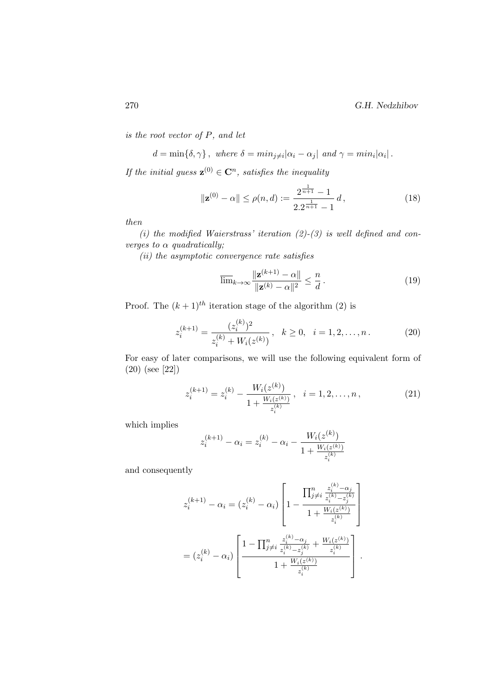270 G.H. Nedzhibov

is the root vector of P, and let

$$
d = \min{\delta, \gamma}
$$
, where  $\delta = \min_{j \neq i} |\alpha_i - \alpha_j|$  and  $\gamma = \min_i |\alpha_i|$ .

If the initial guess  $\mathbf{z}^{(0)} \in \mathbb{C}^n$ , satisfies the inequality

$$
\|\mathbf{z}^{(0)} - \alpha\| \le \rho(n, d) := \frac{2^{\frac{1}{n+1}} - 1}{2 \cdot 2^{\frac{1}{n+1}} - 1} d,
$$
\n(18)

then

(i) the modified Waierstrass' iteration  $(2)-(3)$  is well defined and converges to  $\alpha$  quadratically;

(ii) the asymptotic convergence rate satisfies

$$
\overline{\lim}_{k \to \infty} \frac{\|\mathbf{z}^{(k+1)} - \alpha\|}{\|\mathbf{z}^{(k)} - \alpha\|^2} \le \frac{n}{d}.
$$
\n(19)

Proof. The  $(k + 1)^{th}$  iteration stage of the algorithm (2) is

$$
z_i^{(k+1)} = \frac{(z_i^{(k)})^2}{z_i^{(k)} + W_i(z^{(k)})}, \quad k \ge 0, \quad i = 1, 2, \dots, n. \tag{20}
$$

For easy of later comparisons, we will use the following equivalent form of (20) (see [22])

$$
z_i^{(k+1)} = z_i^{(k)} - \frac{W_i(z^{(k)})}{1 + \frac{W_i(z^{(k)})}{z_i^{(k)}}}, \quad i = 1, 2, \dots, n,
$$
\n
$$
(21)
$$

which implies

$$
z^{(k+1)}_i - \alpha_i = z^{(k)}_i - \alpha_i - \frac{W_i(z^{(k)})}{1 + \frac{W_i(z^{(k)})}{z^{(k)}_i}}
$$

and consequently

$$
z_i^{(k+1)} - \alpha_i = (z_i^{(k)} - \alpha_i) \left[ 1 - \frac{\prod_{j \neq i}^n \frac{z_i^{(k)} - \alpha_j}{z_i^{(k)} - z_j^{(k)}}}{1 + \frac{W_i(z^{(k)})}{z_i^{(k)}}} \right]
$$

$$
= (z_i^{(k)} - \alpha_i) \left[ \frac{1 - \prod_{j \neq i}^n \frac{z_i^{(k)} - \alpha_j}{z_i^{(k)} - z_j^{(k)}} + \frac{W_i(z^{(k)})}{z_i^{(k)}}}{1 + \frac{W_i(z^{(k)})}{z_i^{(k)}}} \right].
$$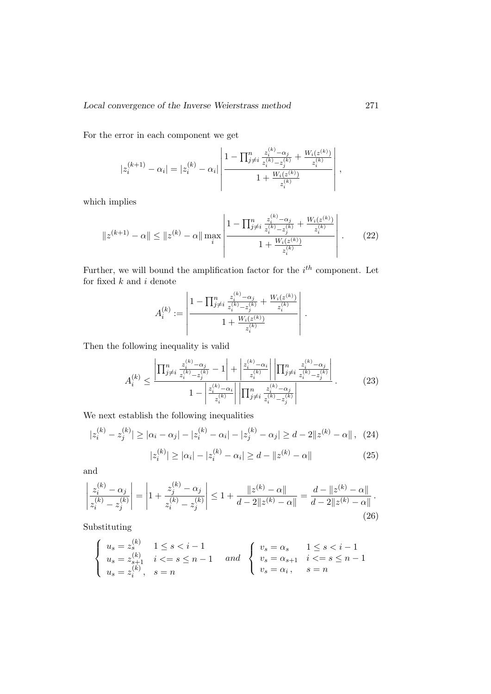For the error in each component we get

$$
|z_i^{(k+1)} - \alpha_i| = |z_i^{(k)} - \alpha_i| \left| \frac{1 - \prod_{j \neq i}^{n} \frac{z_i^{(k)} - \alpha_j}{z_i^{(k)} - z_j^{(k)}} + \frac{W_i(z^{(k)})}{z_i^{(k)}}}{1 + \frac{W_i(z^{(k)})}{z_i^{(k)}}} \right|,
$$

which implies

$$
||z^{(k+1)} - \alpha|| \le ||z^{(k)} - \alpha|| \max_{i} \left| \frac{1 - \prod_{j \ne i}^{n} \frac{z_{i}^{(k)} - \alpha_{j}}{z_{i}^{(k)} - z_{j}^{(k)}} + \frac{W_{i}(z^{(k)})}{z_{i}^{(k)}}}{1 + \frac{W_{i}(z^{(k)})}{z_{i}^{(k)}}} \right|.
$$
 (22)

Further, we will bound the amplification factor for the  $i^{th}$  component. Let for fixed  $k$  and  $i$  denote

$$
A_i^{(k)} := \left| \frac{1 - \prod_{j \neq i}^n \frac{z_i^{(k)} - \alpha_j}{z_i^{(k)} - z_j^{(k)}} + \frac{W_i(z^{(k)})}{z_i^{(k)}}}{1 + \frac{W_i(z^{(k)})}{z_i^{(k)}}} \right|.
$$

Then the following inequality is valid

$$
A_i^{(k)} \le \frac{\left| \prod_{j \ne i}^n \frac{z_i^{(k)} - \alpha_j}{z_i^{(k)} - z_j^{(k)}} - 1 \right| + \left| \frac{z_i^{(k)} - \alpha_i}{z_i^{(k)}} \right| \left| \prod_{j \ne i}^n \frac{z_i^{(k)} - \alpha_j}{z_i^{(k)} - z_j^{(k)}} \right|}{1 - \left| \frac{z_i^{(k)} - \alpha_i}{z_i^{(k)}} \right| \left| \prod_{j \ne i}^n \frac{z_i^{(k)} - \alpha_j}{z_i^{(k)} - z_j^{(k)}} \right|} \tag{23}
$$

We next establish the following inequalities

$$
|z_i^{(k)} - z_j^{(k)}| \ge |\alpha_i - \alpha_j| - |z_i^{(k)} - \alpha_i| - |z_j^{(k)} - \alpha_j| \ge d - 2||z^{(k)} - \alpha||, \quad (24)
$$

$$
|z_i^{(k)}| \ge |\alpha_i| - |z_i^{(k)} - \alpha_i| \ge d - ||z^{(k)} - \alpha|| \qquad (25)
$$

and

$$
\left|\frac{z_i^{(k)} - \alpha_j}{z_i^{(k)} - z_j^{(k)}}\right| = \left|1 + \frac{z_j^{(k)} - \alpha_j}{z_i^{(k)} - z_j^{(k)}}\right| \le 1 + \frac{\|z^{(k)} - \alpha\|}{d - 2\|z^{(k)} - \alpha\|} = \frac{d - \|z^{(k)} - \alpha\|}{d - 2\|z^{(k)} - \alpha\|}.
$$
\n(26)

Substituting

$$
\left\{ \begin{array}{ll} u_s=z_s^{(k)} & 1\leq s < i-1\\ u_s=z_{s+1}^{(k)} & i<=s \leq n-1\\ u_s=z_i^{(k)}, & s=n \end{array} \right. \quad and \quad \left\{ \begin{array}{ll} v_s=\alpha_s & 1\leq s < i-1\\ v_s=\alpha_{s+1} & i<=s \leq n-1\\ v_s=\alpha_i, & s=n \end{array} \right.
$$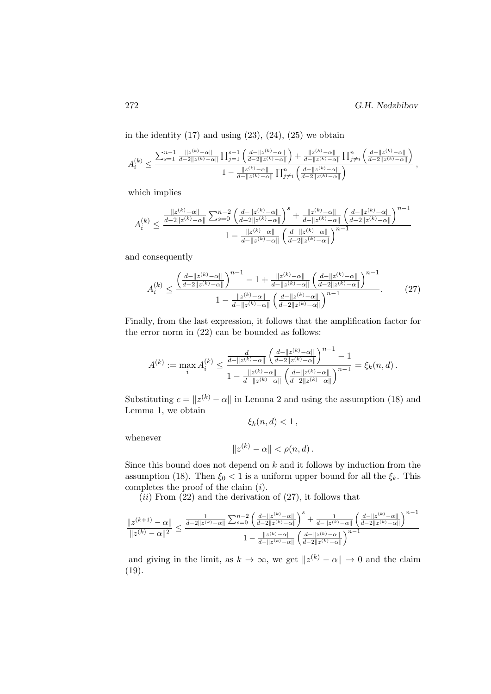in the identity  $(17)$  and using  $(23)$ ,  $(24)$ ,  $(25)$  we obtain

$$
A_i^{(k)} \leq \frac{\sum_{s=1}^{n-1}\frac{\|z^{(k)}-\alpha\|}{d-2\|z^{(k)}-\alpha\|}\prod_{j=1}^{s-1}\left(\frac{d-\|z^{(k)}-\alpha\|}{d-2\|z^{(k)}-\alpha\|}\right)+\frac{\|z^{(k)}-\alpha\|}{d-\|z^{(k)}-\alpha\|}\prod_{j\neq i}^{n}\left(\frac{d-\|z^{(k)}-\alpha\|}{d-2\|z^{(k)}-\alpha\|}\right)}{\frac{\|z^{(k)}-\alpha\|}{d-\|z^{(k)}-\alpha\|}\prod_{j\neq i}^{n}\left(\frac{d-\|z^{(k)}-\alpha\|}{d-2\|z^{(k)}-\alpha\|}\right)},
$$

which implies

$$
A_i^{(k)} \leq \frac{\frac{\|z^{(k)} - \alpha\|}{d - 2\|z^{(k)} - \alpha\|} \sum_{s = 0}^{n-2} \left(\frac{d - \|z^{(k)} - \alpha\|}{d - 2\|z^{(k)} - \alpha\|}\right)^s + \frac{\|z^{(k)} - \alpha\|}{d - \|z^{(k)} - \alpha\|} \left(\frac{d - \|z^{(k)} - \alpha\|}{d - 2\|z^{(k)} - \alpha\|}\right)^{n-1}}{1 - \frac{\|z^{(k)} - \alpha\|}{d - \|z^{(k)} - \alpha\|} \left(\frac{d - \|z^{(k)} - \alpha\|}{d - 2\|z^{(k)} - \alpha\|}\right)^{n-1}}
$$

and consequently

$$
A_i^{(k)} \le \frac{\left(\frac{d-\|z^{(k)}-\alpha\|}{d-2\|z^{(k)}-\alpha\|}\right)^{n-1} - 1 + \frac{\|z^{(k)}-\alpha\|}{d-\|z^{(k)}-\alpha\|} \left(\frac{d-\|z^{(k)}-\alpha\|}{d-2\|z^{(k)}-\alpha\|}\right)^{n-1}}{1 - \frac{\|z^{(k)}-\alpha\|}{d-\|z^{(k)}-\alpha\|} \left(\frac{d-\|z^{(k)}-\alpha\|}{d-2\|z^{(k)}-\alpha\|}\right)^{n-1}}.\tag{27}
$$

Finally, from the last expression, it follows that the amplification factor for the error norm in (22) can be bounded as follows:

$$
A^{(k)} := \max_i A_i^{(k)} \le \frac{\frac{d}{d - ||z^{(k)} - \alpha||} \left(\frac{d - ||z^{(k)} - \alpha||}{d - 2||z^{(k)} - \alpha||}\right)^{n-1} - 1}{1 - \frac{||z^{(k)} - \alpha||}{d - ||z^{(k)} - \alpha||} \left(\frac{d - ||z^{(k)} - \alpha||}{d - 2||z^{(k)} - \alpha||}\right)^{n-1}} = \xi_k(n, d).
$$

Substituting  $c = ||z^{(k)} - \alpha||$  in Lemma 2 and using the assumption (18) and Lemma 1, we obtain

$$
\xi_k(n,d) < 1\,,
$$

whenever

$$
||z^{(k)} - \alpha|| < \rho(n, d).
$$

Since this bound does not depend on  $k$  and it follows by induction from the assumption (18). Then  $\xi_0 < 1$  is a uniform upper bound for all the  $\xi_k$ . This completes the proof of the claim (i).

 $(ii)$  From  $(22)$  and the derivation of  $(27)$ , it follows that

$$
\frac{\Vert z^{(k+1)}-\alpha\Vert}{\Vert z^{(k)}-\alpha\Vert^2}\leq\frac{\frac{1}{d-2\Vert z^{(k)}-\alpha\Vert}\sum_{s=0}^{n-2}\left(\frac{d-\Vert z^{(k)}-\alpha\Vert}{d-2\Vert z^{(k)}-\alpha\Vert}\right)^s+\frac{1}{d-\Vert z^{(k)}-\alpha\Vert}\left(\frac{d-\Vert z^{(k)}-\alpha\Vert}{d-2\Vert z^{(k)}-\alpha\Vert}\right)^{n-1}}{1-\frac{\Vert z^{(k)}-\alpha\Vert}{d-\Vert z^{(k)}-\alpha\Vert}\left(\frac{d-\Vert z^{(k)}-\alpha\Vert}{d-2\Vert z^{(k)}-\alpha\Vert}\right)^{n-1}}
$$

and giving in the limit, as  $k \to \infty$ , we get  $||z^{(k)} - \alpha|| \to 0$  and the claim (19).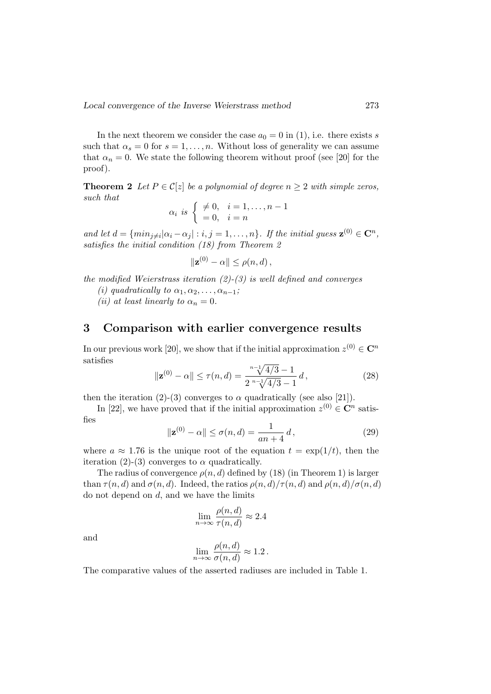In the next theorem we consider the case  $a_0 = 0$  in (1), i.e. there exists s such that  $\alpha_s = 0$  for  $s = 1, \ldots, n$ . Without loss of generality we can assume that  $\alpha_n = 0$ . We state the following theorem without proof (see [20] for the proof).

**Theorem 2** Let  $P \in \mathcal{C}[z]$  be a polynomial of degree  $n \geq 2$  with simple zeros, such that

$$
\alpha_i \ \text{is} \ \left\{ \begin{array}{ll} \neq 0, & i = 1, \dots, n-1 \\ = 0, & i = n \end{array} \right.
$$

and let  $d = \{ \min_{j \neq i} |\alpha_i - \alpha_j| : i, j = 1, \ldots, n \}$ . If the initial guess  $\mathbf{z}^{(0)} \in \mathbb{C}^n$ , satisfies the initial condition (18) from Theorem 2

$$
\|\mathbf{z}^{(0)} - \alpha\| \le \rho(n, d)\,,
$$

the modified Weierstrass iteration  $(2)-(3)$  is well defined and converges

(i) quadratically to  $\alpha_1, \alpha_2, \ldots, \alpha_{n-1}$ ;

(ii) at least linearly to  $\alpha_n = 0$ .

#### 3 Comparison with earlier convergence results

In our previous work [20], we show that if the initial approximation  $z^{(0)} \in \mathbb{C}^n$ satisfies

$$
\|\mathbf{z}^{(0)} - \alpha\| \le \tau(n, d) = \frac{\sqrt[n-1]{4/3} - 1}{2 \sqrt[n-1]{4/3} - 1} d,
$$
\n(28)

then the iteration (2)-(3) converges to  $\alpha$  quadratically (see also [21]).

In [22], we have proved that if the initial approximation  $z^{(0)} \in \mathbb{C}^n$  satisfies

$$
\|\mathbf{z}^{(0)} - \alpha\| \le \sigma(n, d) = \frac{1}{an + 4} d,
$$
\n(29)

where  $a \approx 1.76$  is the unique root of the equation  $t = \exp(1/t)$ , then the iteration (2)-(3) converges to  $\alpha$  quadratically.

The radius of convergence  $\rho(n, d)$  defined by (18) (in Theorem 1) is larger than  $\tau(n, d)$  and  $\sigma(n, d)$ . Indeed, the ratios  $\rho(n, d)/\tau(n, d)$  and  $\rho(n, d)/\sigma(n, d)$ do not depend on  $d$ , and we have the limits

$$
\lim_{n \to \infty} \frac{\rho(n, d)}{\tau(n, d)} \approx 2.4
$$

and

$$
\lim_{n \to \infty} \frac{\rho(n, d)}{\sigma(n, d)} \approx 1.2 \, .
$$

The comparative values of the asserted radiuses are included in Table 1.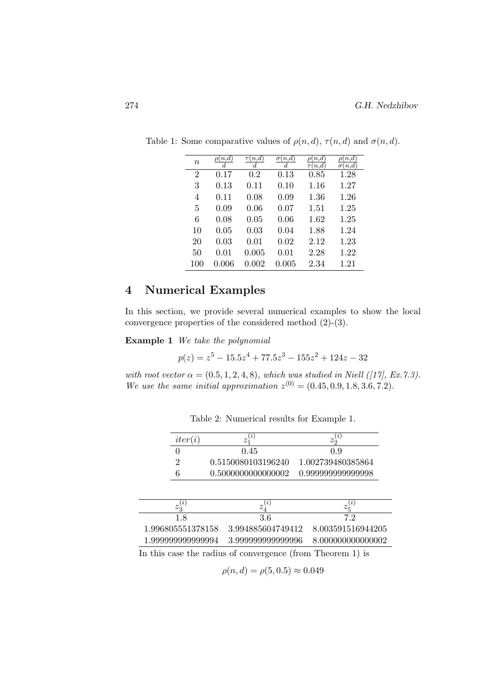| $\it{n}$       | $\rho(n,d)$<br>d | $\tau(n,d)$<br>$_{d}$ | $\sigma(n,d)$<br>$\boldsymbol{d}$ | $\rho(n,d)$<br>$\underline{\tau}(n,d)$ | $\rho(n,\overline{d})$<br>$\sigma(n,d)$ |
|----------------|------------------|-----------------------|-----------------------------------|----------------------------------------|-----------------------------------------|
| $\overline{2}$ | 0.17             | 0.2                   | 0.13                              | 0.85                                   | 1.28                                    |
| 3              | 0.13             | 0.11                  | 0.10                              | 1.16                                   | 1.27                                    |
| 4              | 0.11             | 0.08                  | 0.09                              | 1.36                                   | 1.26                                    |
| 5              | 0.09             | 0.06                  | 0.07                              | 1.51                                   | 1.25                                    |
| 6              | 0.08             | 0.05                  | 0.06                              | 1.62                                   | 1.25                                    |
| 10             | 0.05             | 0.03                  | 0.04                              | 1.88                                   | 1.24                                    |
| 20             | 0.03             | 0.01                  | 0.02                              | 2.12                                   | 1.23                                    |
| 50             | 0.01             | 0.005                 | 0.01                              | 2.28                                   | 1.22                                    |
| 100            | 0.006            | 0.002                 | 0.005                             | 2.34                                   | 1.21                                    |

Table 1: Some comparative values of  $\rho(n, d)$ ,  $\tau(n, d)$  and  $\sigma(n, d)$ .

## 4 Numerical Examples

In this section, we provide several numerical examples to show the local convergence properties of the considered method (2)-(3).

Example 1 We take the polynomial

$$
p(z) = z^5 - 15.5z^4 + 77.5z^3 - 155z^2 + 124z - 32
$$

with root vector  $\alpha = (0.5, 1, 2, 4, 8)$ , which was studied in Niell ([17], Ex.7.3). We use the same initial approximation  $z^{(0)} = (0.45, 0.9, 1.8, 3.6, 7.2)$ .

| iter(i)           | $\lfloor i \rfloor$                                           | (i)<br>$z_{2}$    |
|-------------------|---------------------------------------------------------------|-------------------|
|                   | 0.45                                                          | 0.9               |
| 2                 | 0.5150080103196240                                            | 1.002739480385864 |
| 6                 | 0.5000000000000002                                            | 0.999999999999998 |
| $z_3^{(i)}$       | $\iota$<br>$z_{4}$                                            | $z_{5}$           |
| 1.8               | 3.6                                                           | 7.2               |
| 1.996805551378158 | 3.994885604749412                                             | 8.003591516944205 |
| 1.999999999999994 | 3.999999999999996                                             | 8.000000000000002 |
|                   | In this case the nedius of convenience (from Theorem $1$ ) is |                   |

Table 2: Numerical results for Example 1.

In this case the radius of convergence (from Theorem 1) is

$$
\rho(n, d) = \rho(5, 0.5) \approx 0.049
$$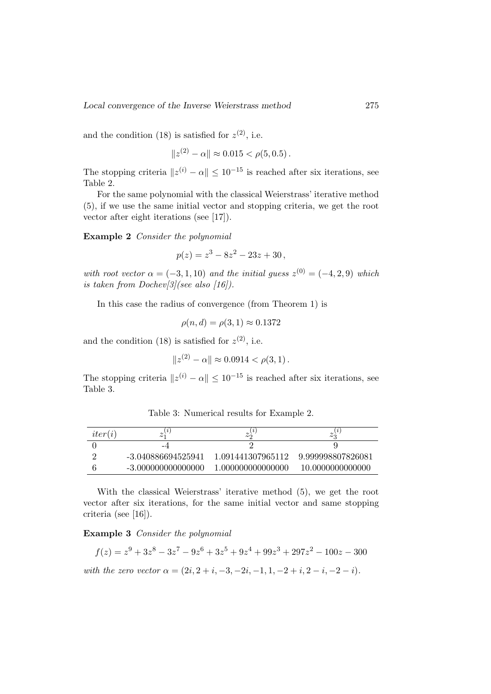and the condition (18) is satisfied for  $z^{(2)}$ , i.e.

$$
||z^{(2)} - \alpha|| \approx 0.015 < \rho(5, 0.5).
$$

The stopping criteria  $||z^{(i)} - \alpha|| \leq 10^{-15}$  is reached after six iterations, see Table 2.

For the same polynomial with the classical Weierstrass' iterative method (5), if we use the same initial vector and stopping criteria, we get the root vector after eight iterations (see [17]).

Example 2 Consider the polynomial

$$
p(z) = z^3 - 8z^2 - 23z + 30,
$$

with root vector  $\alpha = (-3, 1, 10)$  and the initial guess  $z^{(0)} = (-4, 2, 9)$  which is taken from Dochev $\lceil 3 \rceil$ (see also  $\lceil 16 \rceil$ ).

In this case the radius of convergence (from Theorem 1) is

$$
\rho(n,d) = \rho(3,1) \approx 0.1372
$$

and the condition (18) is satisfied for  $z^{(2)}$ , i.e.

$$
||z^{(2)} - \alpha|| \approx 0.0914 < \rho(3, 1).
$$

The stopping criteria  $||z^{(i)} - \alpha|| \leq 10^{-15}$  is reached after six iterations, see Table 3.

 $iter(i)$ (i) 1  $z_2^{(i)}$ 2  $z_3^{(i)}$ 3 0  $-4$  2 9 2 -3.040886694525941 1.091441307965112 9.999998807826081

Table 3: Numerical results for Example 2.

|                      |  |  |  |  | With the classical Weierstrass' iterative method (5), we get the root      |  |  |
|----------------------|--|--|--|--|----------------------------------------------------------------------------|--|--|
|                      |  |  |  |  | vector after six iterations, for the same initial vector and same stopping |  |  |
| criteria (see [16]). |  |  |  |  |                                                                            |  |  |

6 -3.000000000000000 1.000000000000000 10.0000000000000

Example 3 Consider the polynomial

$$
f(z) = z9 + 3z8 - 3z7 - 9z6 + 3z5 + 9z4 + 99z3 + 297z2 - 100z - 300
$$
  
with the zero vector  $\alpha = (2i, 2 + i, -3, -2i, -1, 1, -2 + i, 2 - i, -2 - i)$ .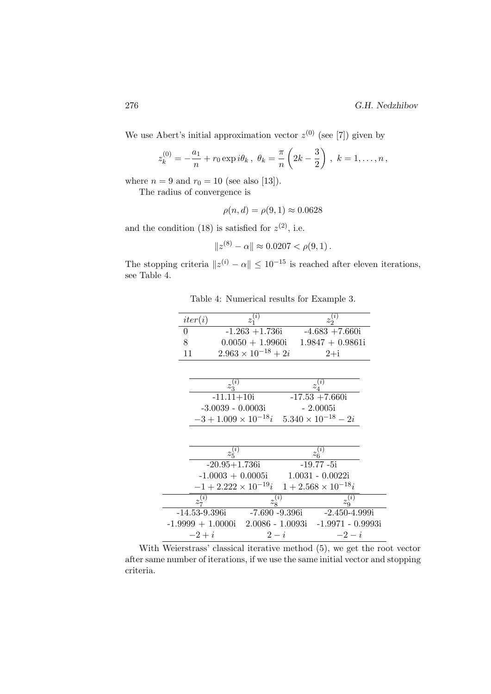We use Abert's initial approximation vector  $z^{(0)}$  (see [7]) given by

$$
z_k^{(0)} = -\frac{a_1}{n} + r_0 \exp i\theta_k, \ \theta_k = \frac{\pi}{n} \left( 2k - \frac{3}{2} \right), \ k = 1, \dots, n,
$$

where  $n = 9$  and  $r_0 = 10$  (see also [13]).

The radius of convergence is

 $\overline{a}$ 

$$
\rho(n,d) = \rho(9,1) \approx 0.0628
$$

and the condition (18) is satisfied for  $z^{(2)}$ , i.e.

$$
||z^{(8)} - \alpha|| \approx 0.0207 < \rho(9, 1).
$$

The stopping criteria  $||z^{(i)} - \alpha|| \leq 10^{-15}$  is reached after eleven iterations, see Table 4.

Table 4: Numerical results for Example 3.

| iter(i)           | $z_1^{(\bar{i})}$                                              |                | $z_2^{(i)}$                             |                                                          |
|-------------------|----------------------------------------------------------------|----------------|-----------------------------------------|----------------------------------------------------------|
| $\boldsymbol{0}$  | $-1.263 + 1.736i$                                              |                | $-4.683 + 7.660i$                       |                                                          |
| 8                 |                                                                |                | $0.0050 + 1.9960$ i $1.9847 + 0.9861$ i |                                                          |
| 11                | $2.963 \times 10^{-18} + 2i$                                   |                | $2+i$                                   |                                                          |
|                   |                                                                |                |                                         |                                                          |
|                   |                                                                |                |                                         |                                                          |
|                   | $z^{(\bar{i})}_3$                                              |                | $z_4^{(\bar{i})}$                       |                                                          |
|                   | $-11.11 + 10i$                                                 |                | $-17.53 + 7.660i$                       |                                                          |
|                   | $-3.0039 - 0.0003i$                                            |                | $-2.0005i$                              |                                                          |
|                   | $-3 + 1.009 \times 10^{-18}$ i $5.340 \times 10^{-18} - 2i$    |                |                                         |                                                          |
|                   |                                                                |                |                                         |                                                          |
|                   |                                                                |                |                                         |                                                          |
|                   | $z_5^{(i)}$                                                    |                | $z_{\underline{6}}^{(\bar{i})}$         |                                                          |
|                   | $-20.95 + 1.736i$                                              |                | $-19.77 - 5i$                           |                                                          |
|                   | $-1.0003 + 0.0005i$                                            |                | $1.0031 - 0.0022i$                      |                                                          |
|                   | $-1 + 2.222 \times 10^{-19}i \quad 1 + 2.568 \times 10^{-18}i$ |                |                                         |                                                          |
| $z_7^{(i)}$       |                                                                | $z_8^{(i)}$    |                                         | $z_{9}^{\overline{\overline{\overline{\overline{y}}}})}$ |
| $-14.53 - 9.396i$ |                                                                | -7.690 -9.396i |                                         | -2.450-4.999i                                            |
|                   | $-1.9999 + 1.0000$ i $2.0086 - 1.0093$ i $-1.9971 - 0.9993$ i  |                |                                         |                                                          |
| $-2+i$            |                                                                | $2-i$          |                                         | $-2-i$                                                   |
|                   |                                                                |                |                                         |                                                          |

With Weierstrass' classical iterative method  $(5)$ , we get the root vector after same number of iterations, if we use the same initial vector and stopping criteria.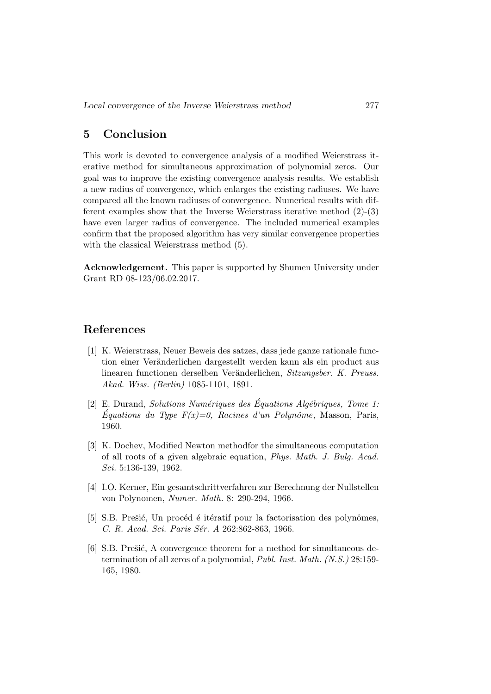## 5 Conclusion

This work is devoted to convergence analysis of a modified Weierstrass iterative method for simultaneous approximation of polynomial zeros. Our goal was to improve the existing convergence analysis results. We establish a new radius of convergence, which enlarges the existing radiuses. We have compared all the known radiuses of convergence. Numerical results with different examples show that the Inverse Weierstrass iterative method (2)-(3) have even larger radius of convergence. The included numerical examples confirm that the proposed algorithm has very similar convergence properties with the classical Weierstrass method (5).

Acknowledgement. This paper is supported by Shumen University under Grant RD 08-123/06.02.2017.

## References

- [1] K. Weierstrass, Neuer Beweis des satzes, dass jede ganze rationale function einer Veränderlichen dargestellt werden kann als ein product aus linearen functionen derselben Veränderlichen, Sitzungsber. K. Preuss. Akad. Wiss. (Berlin) 1085-1101, 1891.
- [2] E. Durand, Solutions Numériques des Équations Algébriques, Tome 1:  $Équations du Type F(x)=0, Racines d'un Polynôme, Masson, Paris,$ 1960.
- [3] K. Dochev, Modified Newton methodfor the simultaneous computation of all roots of a given algebraic equation, Phys. Math. J. Bulg. Acad. Sci. 5:136-139, 1962.
- [4] I.O. Kerner, Ein gesamtschrittverfahren zur Berechnung der Nullstellen von Polynomen, Numer. Math. 8: 290-294, 1966.
- [5] S.B. Prešić, Un procéd é itératif pour la factorisation des polynômes, C. R. Acad. Sci. Paris Sér. A 262:862-863, 1966.
- [6] S.B. Prešić, A convergence theorem for a method for simultaneous determination of all zeros of a polynomial, Publ. Inst. Math. (N.S.) 28:159- 165, 1980.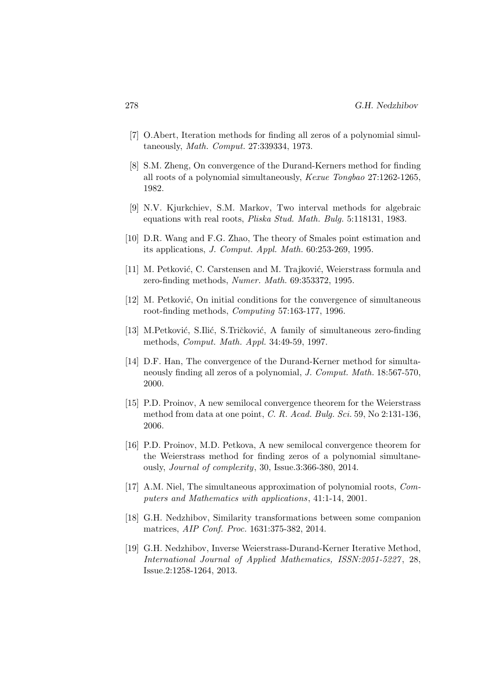- [7] O.Abert, Iteration methods for finding all zeros of a polynomial simultaneously, Math. Comput. 27:339334, 1973.
- [8] S.M. Zheng, On convergence of the Durand-Kerners method for finding all roots of a polynomial simultaneously, Kexue Tongbao 27:1262-1265, 1982.
- [9] N.V. Kjurkchiev, S.M. Markov, Two interval methods for algebraic equations with real roots, Pliska Stud. Math. Bulg. 5:118131, 1983.
- [10] D.R. Wang and F.G. Zhao, The theory of Smales point estimation and its applications, J. Comput. Appl. Math. 60:253-269, 1995.
- [11] M. Petković, C. Carstensen and M. Trajković, Weierstrass formula and zero-finding methods, Numer. Math. 69:353372, 1995.
- [12] M. Petković, On initial conditions for the convergence of simultaneous root-finding methods, Computing 57:163-177, 1996.
- [13] M.Petković, S.Ilić, S.Tričković, A family of simultaneous zero-finding methods, Comput. Math. Appl. 34:49-59, 1997.
- [14] D.F. Han, The convergence of the Durand-Kerner method for simultaneously finding all zeros of a polynomial, J. Comput. Math. 18:567-570, 2000.
- [15] P.D. Proinov, A new semilocal convergence theorem for the Weierstrass method from data at one point, C. R. Acad. Bulg. Sci. 59, No 2:131-136, 2006.
- [16] P.D. Proinov, M.D. Petkova, A new semilocal convergence theorem for the Weierstrass method for finding zeros of a polynomial simultaneously, Journal of complexity, 30, Issue.3:366-380, 2014.
- [17] A.M. Niel, The simultaneous approximation of polynomial roots, Computers and Mathematics with applications, 41:1-14, 2001.
- [18] G.H. Nedzhibov, Similarity transformations between some companion matrices, AIP Conf. Proc. 1631:375-382, 2014.
- [19] G.H. Nedzhibov, Inverse Weierstrass-Durand-Kerner Iterative Method, International Journal of Applied Mathematics, ISSN:2051-5227 , 28, Issue.2:1258-1264, 2013.